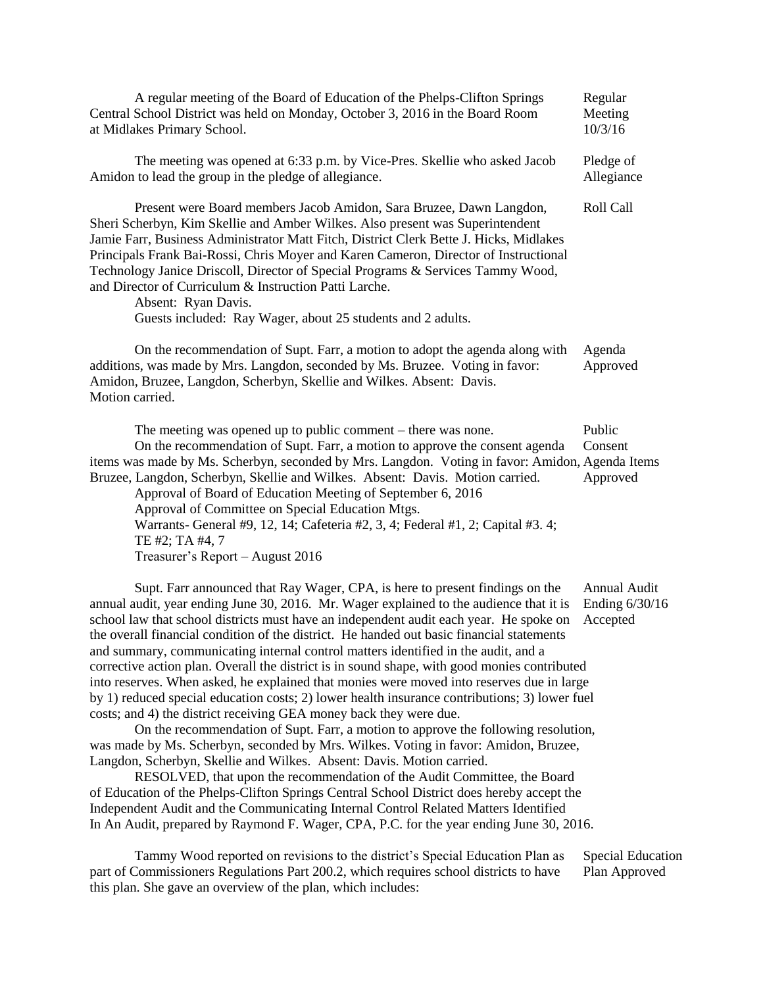| A regular meeting of the Board of Education of the Phelps-Clifton Springs<br>Central School District was held on Monday, October 3, 2016 in the Board Room<br>at Midlakes Primary School.                                                                                                                                                                                                                                                                                                                                                                                                                                                                                                                                                                                                                                                                                                                                                                                                                                                                                                                                                                                                                                                                                                                                                                                                                                                 | Regular<br>Meeting<br>10/3/16              |
|-------------------------------------------------------------------------------------------------------------------------------------------------------------------------------------------------------------------------------------------------------------------------------------------------------------------------------------------------------------------------------------------------------------------------------------------------------------------------------------------------------------------------------------------------------------------------------------------------------------------------------------------------------------------------------------------------------------------------------------------------------------------------------------------------------------------------------------------------------------------------------------------------------------------------------------------------------------------------------------------------------------------------------------------------------------------------------------------------------------------------------------------------------------------------------------------------------------------------------------------------------------------------------------------------------------------------------------------------------------------------------------------------------------------------------------------|--------------------------------------------|
| The meeting was opened at 6:33 p.m. by Vice-Pres. Skellie who asked Jacob<br>Amidon to lead the group in the pledge of allegiance.                                                                                                                                                                                                                                                                                                                                                                                                                                                                                                                                                                                                                                                                                                                                                                                                                                                                                                                                                                                                                                                                                                                                                                                                                                                                                                        | Pledge of<br>Allegiance                    |
| Present were Board members Jacob Amidon, Sara Bruzee, Dawn Langdon,<br>Sheri Scherbyn, Kim Skellie and Amber Wilkes. Also present was Superintendent<br>Jamie Farr, Business Administrator Matt Fitch, District Clerk Bette J. Hicks, Midlakes<br>Principals Frank Bai-Rossi, Chris Moyer and Karen Cameron, Director of Instructional<br>Technology Janice Driscoll, Director of Special Programs & Services Tammy Wood,<br>and Director of Curriculum & Instruction Patti Larche.<br>Absent: Ryan Davis.<br>Guests included: Ray Wager, about 25 students and 2 adults.                                                                                                                                                                                                                                                                                                                                                                                                                                                                                                                                                                                                                                                                                                                                                                                                                                                                 | Roll Call                                  |
| On the recommendation of Supt. Farr, a motion to adopt the agenda along with<br>additions, was made by Mrs. Langdon, seconded by Ms. Bruzee. Voting in favor:<br>Amidon, Bruzee, Langdon, Scherbyn, Skellie and Wilkes. Absent: Davis.<br>Motion carried.                                                                                                                                                                                                                                                                                                                                                                                                                                                                                                                                                                                                                                                                                                                                                                                                                                                                                                                                                                                                                                                                                                                                                                                 | Agenda<br>Approved                         |
| The meeting was opened up to public comment $-$ there was none.<br>On the recommendation of Supt. Farr, a motion to approve the consent agenda<br>items was made by Ms. Scherbyn, seconded by Mrs. Langdon. Voting in favor: Amidon, Agenda Items<br>Bruzee, Langdon, Scherbyn, Skellie and Wilkes. Absent: Davis. Motion carried.<br>Approval of Board of Education Meeting of September 6, 2016<br>Approval of Committee on Special Education Mtgs.<br>Warrants- General #9, 12, 14; Cafeteria #2, 3, 4; Federal #1, 2; Capital #3. 4;<br>TE #2; TA #4, 7<br>Treasurer's Report - August 2016                                                                                                                                                                                                                                                                                                                                                                                                                                                                                                                                                                                                                                                                                                                                                                                                                                           | Public<br>Consent<br>Approved              |
| Supt. Farr announced that Ray Wager, CPA, is here to present findings on the<br>annual audit, year ending June 30, 2016. Mr. Wager explained to the audience that it is<br>school law that school districts must have an independent audit each year. He spoke on<br>the overall financial condition of the district. He handed out basic financial statements<br>and summary, communicating internal control matters identified in the audit, and a<br>corrective action plan. Overall the district is in sound shape, with good monies contributed<br>into reserves. When asked, he explained that monies were moved into reserves due in large<br>by 1) reduced special education costs; 2) lower health insurance contributions; 3) lower fuel<br>costs; and 4) the district receiving GEA money back they were due.<br>On the recommendation of Supt. Farr, a motion to approve the following resolution,<br>was made by Ms. Scherbyn, seconded by Mrs. Wilkes. Voting in favor: Amidon, Bruzee,<br>Langdon, Scherbyn, Skellie and Wilkes. Absent: Davis. Motion carried.<br>RESOLVED, that upon the recommendation of the Audit Committee, the Board<br>of Education of the Phelps-Clifton Springs Central School District does hereby accept the<br>Independent Audit and the Communicating Internal Control Related Matters Identified<br>In An Audit, prepared by Raymond F. Wager, CPA, P.C. for the year ending June 30, 2016. | Annual Audit<br>Ending 6/30/16<br>Accepted |
| Tammy Wood reported on revisions to the district's Special Education Plan as                                                                                                                                                                                                                                                                                                                                                                                                                                                                                                                                                                                                                                                                                                                                                                                                                                                                                                                                                                                                                                                                                                                                                                                                                                                                                                                                                              | Special Education                          |

part of Commissioners Regulations Part 200.2, which requires school districts to have Plan Approved this plan. She gave an overview of the plan, which includes: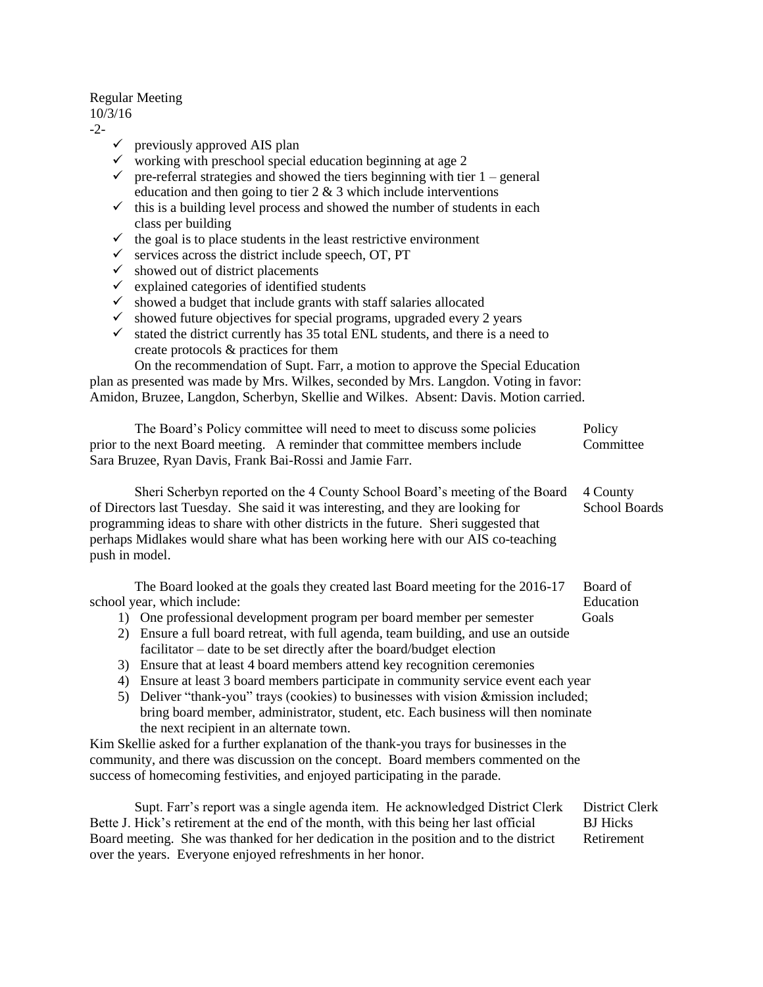## Regular Meeting

## 10/3/16

-2-

- $\checkmark$  previously approved AIS plan
- $\checkmark$  working with preschool special education beginning at age 2
- $\checkmark$  pre-referral strategies and showed the tiers beginning with tier 1 general education and then going to tier  $2 \& 3$  which include interventions
- $\checkmark$  this is a building level process and showed the number of students in each class per building
- $\checkmark$  the goal is to place students in the least restrictive environment
- $\checkmark$  services across the district include speech, OT, PT
- $\checkmark$  showed out of district placements
- $\checkmark$  explained categories of identified students
- $\checkmark$  showed a budget that include grants with staff salaries allocated
- $\checkmark$  showed future objectives for special programs, upgraded every 2 years
- $\checkmark$  stated the district currently has 35 total ENL students, and there is a need to create protocols & practices for them

On the recommendation of Supt. Farr, a motion to approve the Special Education plan as presented was made by Mrs. Wilkes, seconded by Mrs. Langdon. Voting in favor: Amidon, Bruzee, Langdon, Scherbyn, Skellie and Wilkes. Absent: Davis. Motion carried.

| The Board's Policy committee will need to meet to discuss some policies    | Policy    |
|----------------------------------------------------------------------------|-----------|
| prior to the next Board meeting. A reminder that committee members include | Committee |
| Sara Bruzee, Ryan Davis, Frank Bai-Rossi and Jamie Farr.                   |           |

Sheri Scherbyn reported on the 4 County School Board's meeting of the Board 4 County of Directors last Tuesday. She said it was interesting, and they are looking for School Boards programming ideas to share with other districts in the future. Sheri suggested that perhaps Midlakes would share what has been working here with our AIS co-teaching push in model.

The Board looked at the goals they created last Board meeting for the 2016-17 Board of school year, which include: Education **Exercise 2.1** Education

- 1) One professional development program per board member per semester Goals
- 2) Ensure a full board retreat, with full agenda, team building, and use an outside facilitator – date to be set directly after the board/budget election
- 3) Ensure that at least 4 board members attend key recognition ceremonies
- 4) Ensure at least 3 board members participate in community service event each year
- 5) Deliver "thank-you" trays (cookies) to businesses with vision &mission included; bring board member, administrator, student, etc. Each business will then nominate the next recipient in an alternate town.

Kim Skellie asked for a further explanation of the thank-you trays for businesses in the community, and there was discussion on the concept. Board members commented on the success of homecoming festivities, and enjoyed participating in the parade.

Supt. Farr's report was a single agenda item. He acknowledged District Clerk District Clerk Bette J. Hick's retirement at the end of the month, with this being her last official BJ Hicks Board meeting. She was thanked for her dedication in the position and to the district Retirement over the years. Everyone enjoyed refreshments in her honor.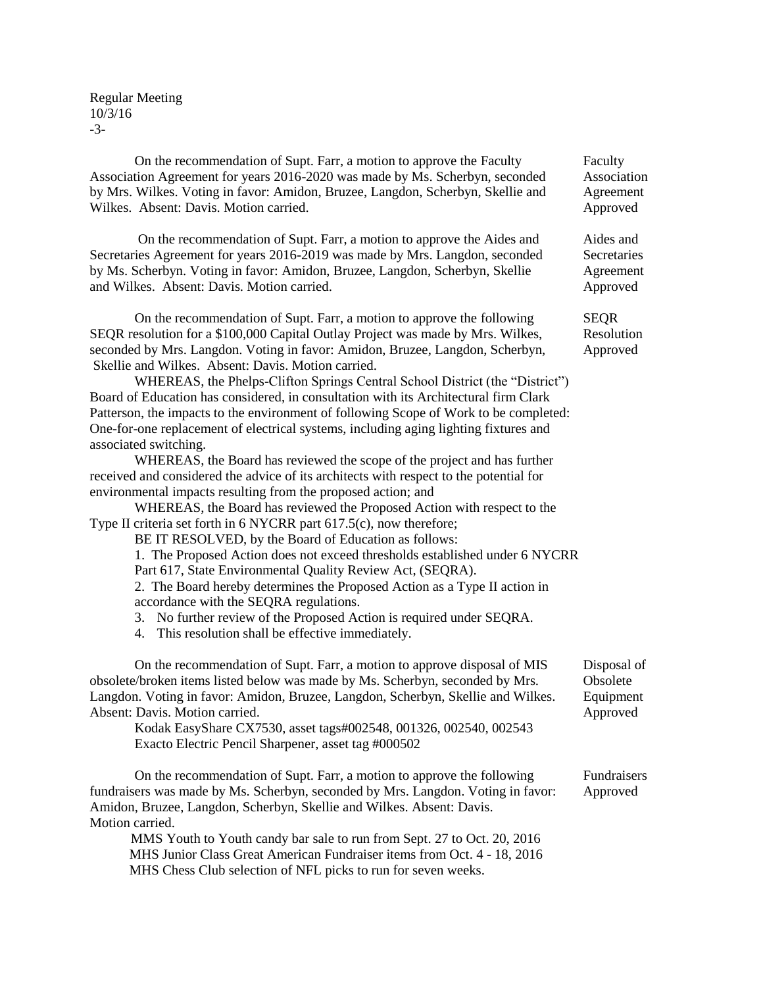Regular Meeting 10/3/16 -3-

On the recommendation of Supt. Farr, a motion to approve the Faculty Faculty Association Agreement for years 2016-2020 was made by Ms. Scherbyn, seconded Association by Mrs. Wilkes. Voting in favor: Amidon, Bruzee, Langdon, Scherbyn, Skellie and Agreement Wilkes. Absent: Davis. Motion carried. Approved

On the recommendation of Supt. Farr, a motion to approve the Aides and Aides and Secretaries Agreement for years 2016-2019 was made by Mrs. Langdon, seconded Secretaries by Ms. Scherbyn. Voting in favor: Amidon, Bruzee, Langdon, Scherbyn, Skellie Agreement and Wilkes. Absent: Davis. Motion carried. Approved

On the recommendation of Supt. Farr, a motion to approve the following SEQR SEQR resolution for a \$100,000 Capital Outlay Project was made by Mrs. Wilkes, Resolution seconded by Mrs. Langdon. Voting in favor: Amidon, Bruzee, Langdon, Scherbyn, Approved Skellie and Wilkes. Absent: Davis. Motion carried.

WHEREAS, the Phelps-Clifton Springs Central School District (the "District") Board of Education has considered, in consultation with its Architectural firm Clark Patterson, the impacts to the environment of following Scope of Work to be completed: One-for-one replacement of electrical systems, including aging lighting fixtures and associated switching.

WHEREAS, the Board has reviewed the scope of the project and has further received and considered the advice of its architects with respect to the potential for environmental impacts resulting from the proposed action; and

WHEREAS, the Board has reviewed the Proposed Action with respect to the Type II criteria set forth in 6 NYCRR part 617.5(c), now therefore;

BE IT RESOLVED, by the Board of Education as follows:

1. The Proposed Action does not exceed thresholds established under 6 NYCRR

Part 617, State Environmental Quality Review Act, (SEQRA).

2. The Board hereby determines the Proposed Action as a Type II action in accordance with the SEQRA regulations.

3. No further review of the Proposed Action is required under SEQRA.

4. This resolution shall be effective immediately.

On the recommendation of Supt. Farr, a motion to approve disposal of MIS Disposal of obsolete/broken items listed below was made by Ms. Scherbyn, seconded by Mrs. Obsolete Langdon. Voting in favor: Amidon, Bruzee, Langdon, Scherbyn, Skellie and Wilkes. Equipment Absent: Davis. Motion carried.  $\blacksquare$ 

Kodak EasyShare CX7530, asset tags#002548, 001326, 002540, 002543 Exacto Electric Pencil Sharpener, asset tag #000502

On the recommendation of Supt. Farr, a motion to approve the following Fundraisers fundraisers was made by Ms. Scherbyn, seconded by Mrs. Langdon. Voting in favor: Approved Amidon, Bruzee, Langdon, Scherbyn, Skellie and Wilkes. Absent: Davis. Motion carried.

 MMS Youth to Youth candy bar sale to run from Sept. 27 to Oct. 20, 2016 MHS Junior Class Great American Fundraiser items from Oct. 4 - 18, 2016 MHS Chess Club selection of NFL picks to run for seven weeks.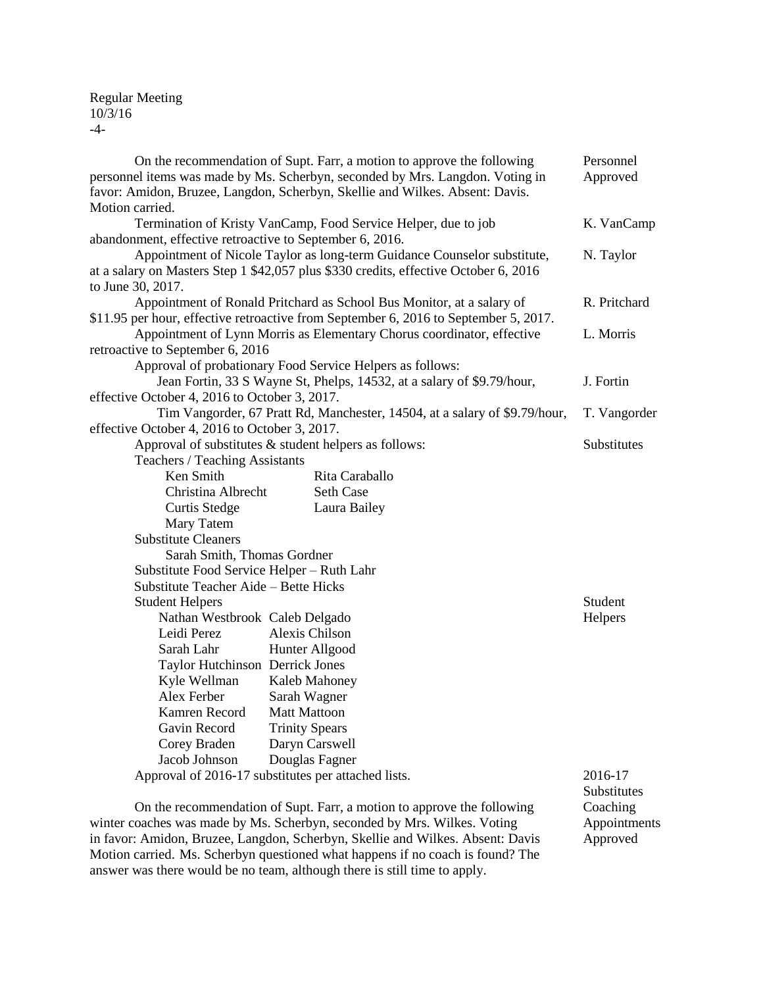## Regular Meeting 10/3/16 -4-

| On the recommendation of Supt. Farr, a motion to approve the following<br>personnel items was made by Ms. Scherbyn, seconded by Mrs. Langdon. Voting in |                                                                                      | Personnel<br>Approved |
|---------------------------------------------------------------------------------------------------------------------------------------------------------|--------------------------------------------------------------------------------------|-----------------------|
|                                                                                                                                                         | favor: Amidon, Bruzee, Langdon, Scherbyn, Skellie and Wilkes. Absent: Davis.         |                       |
| Motion carried.                                                                                                                                         |                                                                                      |                       |
|                                                                                                                                                         | Termination of Kristy VanCamp, Food Service Helper, due to job                       | K. VanCamp            |
| abandonment, effective retroactive to September 6, 2016.                                                                                                |                                                                                      |                       |
|                                                                                                                                                         | Appointment of Nicole Taylor as long-term Guidance Counselor substitute,             | N. Taylor             |
|                                                                                                                                                         | at a salary on Masters Step 1 \$42,057 plus \$330 credits, effective October 6, 2016 |                       |
| to June 30, 2017.                                                                                                                                       |                                                                                      |                       |
|                                                                                                                                                         | Appointment of Ronald Pritchard as School Bus Monitor, at a salary of                | R. Pritchard          |
|                                                                                                                                                         | \$11.95 per hour, effective retroactive from September 6, 2016 to September 5, 2017. |                       |
|                                                                                                                                                         | Appointment of Lynn Morris as Elementary Chorus coordinator, effective               | L. Morris             |
| retroactive to September 6, 2016                                                                                                                        |                                                                                      |                       |
|                                                                                                                                                         | Approval of probationary Food Service Helpers as follows:                            |                       |
|                                                                                                                                                         | Jean Fortin, 33 S Wayne St, Phelps, 14532, at a salary of \$9.79/hour,               | J. Fortin             |
| effective October 4, 2016 to October 3, 2017.                                                                                                           |                                                                                      |                       |
|                                                                                                                                                         | Tim Vangorder, 67 Pratt Rd, Manchester, 14504, at a salary of \$9.79/hour,           | T. Vangorder          |
| effective October 4, 2016 to October 3, 2017.                                                                                                           |                                                                                      |                       |
|                                                                                                                                                         | Approval of substitutes & student helpers as follows:                                | Substitutes           |
| Teachers / Teaching Assistants                                                                                                                          |                                                                                      |                       |
| Ken Smith                                                                                                                                               | Rita Caraballo                                                                       |                       |
| Christina Albrecht                                                                                                                                      | <b>Seth Case</b>                                                                     |                       |
| <b>Curtis Stedge</b>                                                                                                                                    | Laura Bailey                                                                         |                       |
| Mary Tatem                                                                                                                                              |                                                                                      |                       |
| <b>Substitute Cleaners</b>                                                                                                                              |                                                                                      |                       |
| Sarah Smith, Thomas Gordner                                                                                                                             |                                                                                      |                       |
| Substitute Food Service Helper - Ruth Lahr                                                                                                              |                                                                                      |                       |
| Substitute Teacher Aide - Bette Hicks                                                                                                                   |                                                                                      |                       |
| <b>Student Helpers</b>                                                                                                                                  |                                                                                      | Student               |
| Nathan Westbrook Caleb Delgado                                                                                                                          |                                                                                      | Helpers               |
| Leidi Perez                                                                                                                                             | Alexis Chilson                                                                       |                       |
| Sarah Lahr                                                                                                                                              | Hunter Allgood                                                                       |                       |
| Taylor Hutchinson Derrick Jones                                                                                                                         |                                                                                      |                       |
| Kyle Wellman                                                                                                                                            | Kaleb Mahoney                                                                        |                       |
| Alex Ferber                                                                                                                                             | Sarah Wagner                                                                         |                       |
| Kamren Record                                                                                                                                           | <b>Matt Mattoon</b>                                                                  |                       |
| Gavin Record                                                                                                                                            | <b>Trinity Spears</b>                                                                |                       |
| Corey Braden                                                                                                                                            | Daryn Carswell                                                                       |                       |
| Jacob Johnson                                                                                                                                           | Douglas Fagner                                                                       |                       |
|                                                                                                                                                         | Approval of 2016-17 substitutes per attached lists.                                  | 2016-17               |
|                                                                                                                                                         |                                                                                      | Substitutes           |
|                                                                                                                                                         | On the recommendation of Supt. Farr, a motion to approve the following               | Coaching              |

winter coaches was made by Ms. Scherbyn, seconded by Mrs. Wilkes. Voting Appointments Un the recommendation of Supt. Farr, a motion to approve the following Coaching<br>winter coaches was made by Ms. Scherbyn, seconded by Mrs. Wilkes. Voting Appointments<br>in favor: Amidon, Bruzee, Langdon, Scherbyn, Skellie and Motion carried. Ms. Scherbyn questioned what happens if no coach is found? The answer was there would be no team, although there is still time to apply.